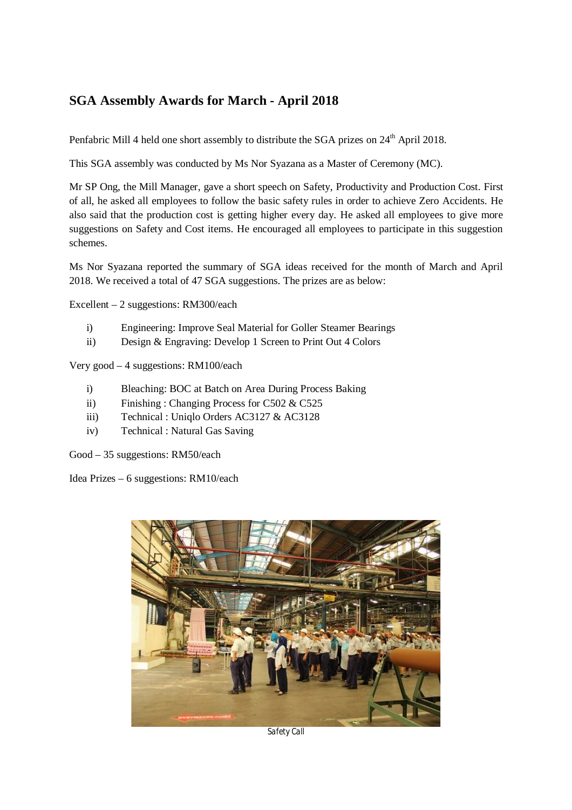## **SGA Assembly Awards for March - April 2018**

Penfabric Mill 4 held one short assembly to distribute the SGA prizes on 24<sup>th</sup> April 2018.

This SGA assembly was conducted by Ms Nor Syazana as a Master of Ceremony (MC).

Mr SP Ong, the Mill Manager, gave a short speech on Safety, Productivity and Production Cost. First of all, he asked all employees to follow the basic safety rules in order to achieve Zero Accidents. He also said that the production cost is getting higher every day. He asked all employees to give more suggestions on Safety and Cost items. He encouraged all employees to participate in this suggestion schemes.

Ms Nor Syazana reported the summary of SGA ideas received for the month of March and April 2018. We received a total of 47 SGA suggestions. The prizes are as below:

Excellent – 2 suggestions: RM300/each

- i) Engineering: Improve Seal Material for Goller Steamer Bearings
- ii) Design & Engraving: Develop 1 Screen to Print Out 4 Colors

Very good – 4 suggestions: RM100/each

- i) Bleaching: BOC at Batch on Area During Process Baking
- ii) Finishing : Changing Process for C502 & C525
- iii) Technical : Uniqlo Orders AC3127 & AC3128
- iv) Technical : Natural Gas Saving

Good – 35 suggestions: RM50/each

Idea Prizes – 6 suggestions: RM10/each



*Safety Call*